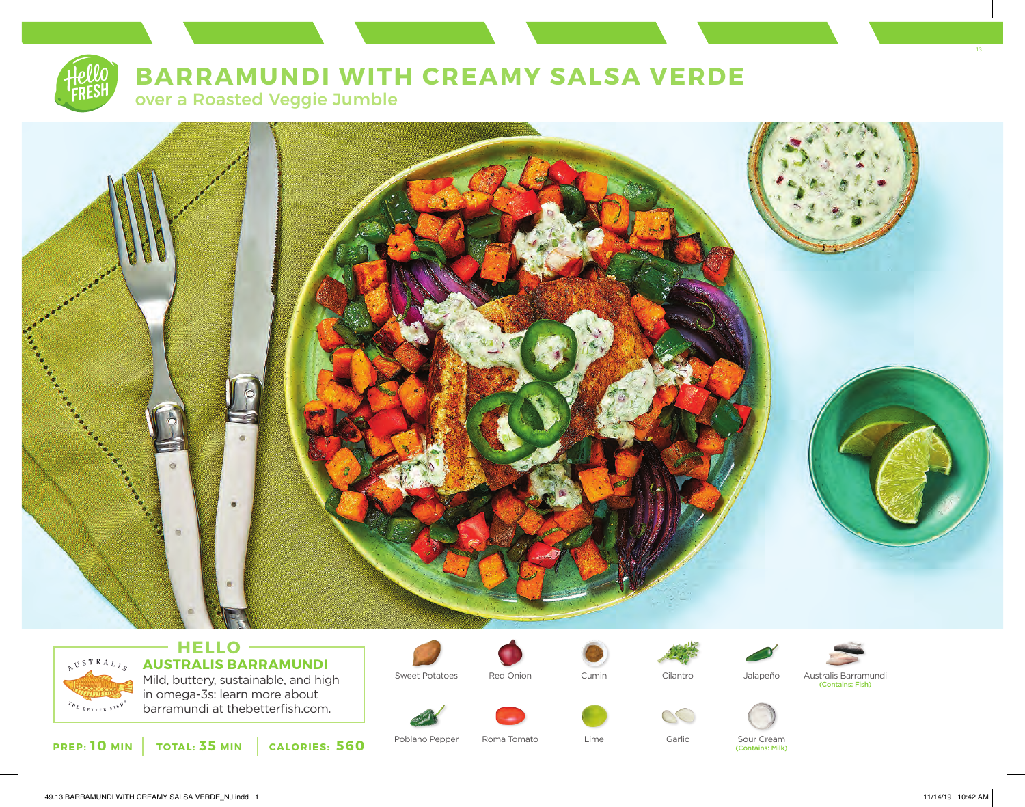# **BARRAMUNDI WITH CREAMY SALSA VERDE**

over a Roasted Veggie Jumble





### - HELLO -**AUSTRALIS BARRAMUNDI** Mild, buttery, sustainable, and high in omega-3s: learn more about barramundi at thebetterfish.com.

**PREP: 10 MIN TOTAL: 35 MIN CALORIES: 560**











Sweet Potatoes Red Onion Cumin Cilantro Jalapeño Australis Barramundi<br>Contains: Fish)









Poblano Pepper Roma Tomato Lime Garlic Sour Cream (Contains: Milk) 13